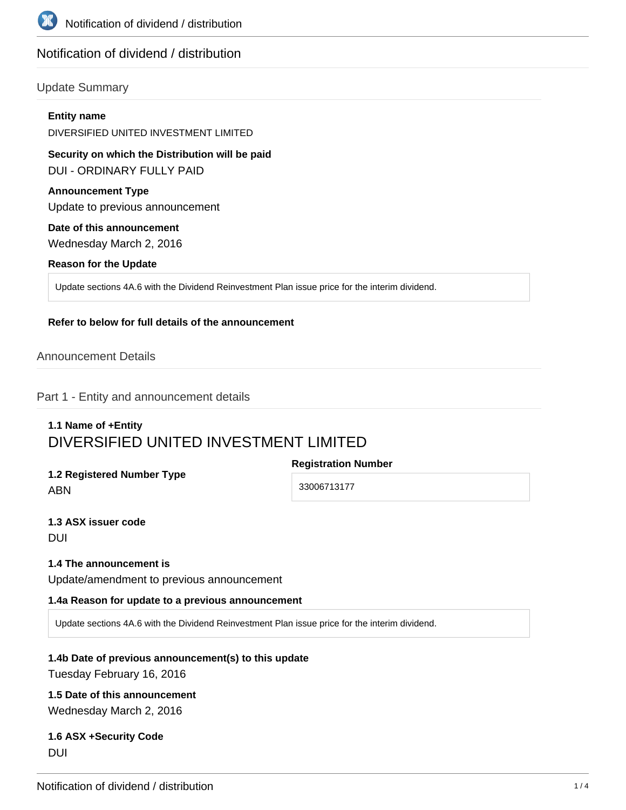

# Notification of dividend / distribution

# Update Summary

#### **Entity name**

DIVERSIFIED UNITED INVESTMENT LIMITED

**Security on which the Distribution will be paid** DUI - ORDINARY FULLY PAID

**Announcement Type** Update to previous announcement

#### **Date of this announcement**

Wednesday March 2, 2016

**Reason for the Update**

Update sections 4A.6 with the Dividend Reinvestment Plan issue price for the interim dividend.

#### **Refer to below for full details of the announcement**

# Announcement Details

Part 1 - Entity and announcement details

# **1.1 Name of +Entity** DIVERSIFIED UNITED INVESTMENT LIMITED

**1.2 Registered Number Type** ABN

**Registration Number**

33006713177

**1.3 ASX issuer code** DUI

#### **1.4 The announcement is**

Update/amendment to previous announcement

#### **1.4a Reason for update to a previous announcement**

Update sections 4A.6 with the Dividend Reinvestment Plan issue price for the interim dividend.

#### **1.4b Date of previous announcement(s) to this update**

Tuesday February 16, 2016

#### **1.5 Date of this announcement**

Wednesday March 2, 2016

## **1.6 ASX +Security Code** DUI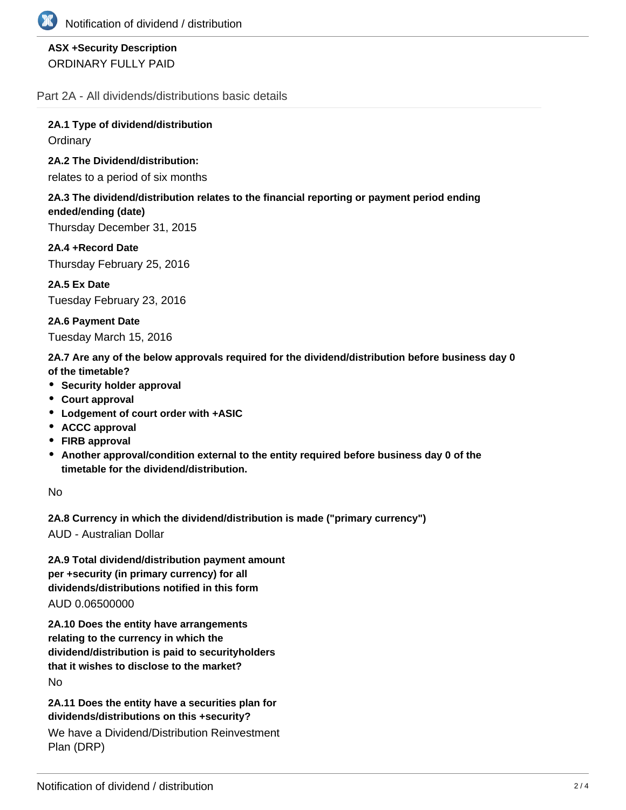

# **ASX +Security Description** ORDINARY FULLY PAID

Part 2A - All dividends/distributions basic details

**2A.1 Type of dividend/distribution Ordinary** 

# **2A.2 The Dividend/distribution:**

relates to a period of six months

# **2A.3 The dividend/distribution relates to the financial reporting or payment period ending ended/ending (date)**

Thursday December 31, 2015

# **2A.4 +Record Date**

Thursday February 25, 2016

**2A.5 Ex Date** Tuesday February 23, 2016

**2A.6 Payment Date** Tuesday March 15, 2016

**2A.7 Are any of the below approvals required for the dividend/distribution before business day 0 of the timetable?**

- **•** Security holder approval
- **Court approval**
- **Lodgement of court order with +ASIC**
- **ACCC approval**
- **FIRB approval**
- **Another approval/condition external to the entity required before business day 0 of the timetable for the dividend/distribution.**

No

**2A.8 Currency in which the dividend/distribution is made ("primary currency")**

AUD - Australian Dollar

**2A.9 Total dividend/distribution payment amount per +security (in primary currency) for all dividends/distributions notified in this form** AUD 0.06500000

**2A.10 Does the entity have arrangements relating to the currency in which the dividend/distribution is paid to securityholders that it wishes to disclose to the market?** No

**2A.11 Does the entity have a securities plan for dividends/distributions on this +security?**

We have a Dividend/Distribution Reinvestment Plan (DRP)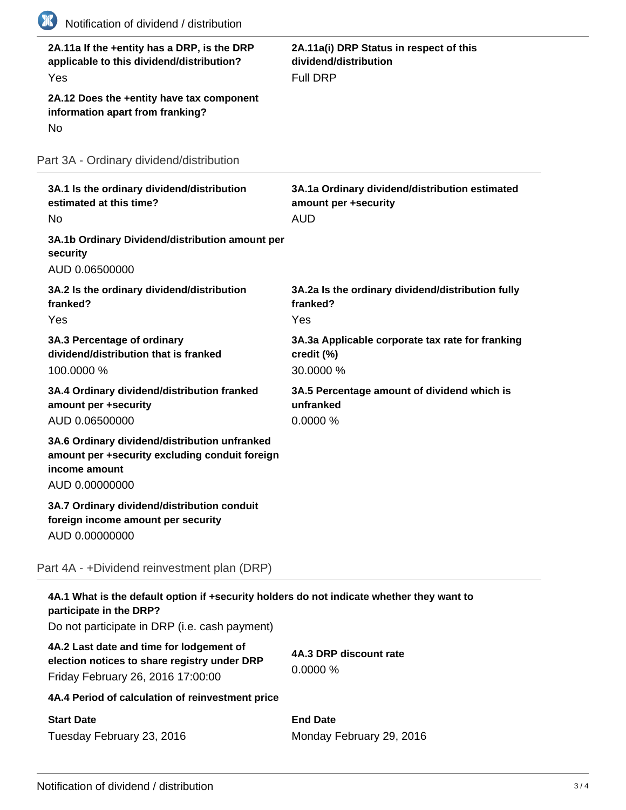| 2A.11a If the +entity has a DRP, is the DRP<br>applicable to this dividend/distribution?<br>Yes                                    | 2A.11a(i) DRP Status in respect of this<br>dividend/distribution<br><b>Full DRP</b>  |
|------------------------------------------------------------------------------------------------------------------------------------|--------------------------------------------------------------------------------------|
| 2A.12 Does the +entity have tax component<br>information apart from franking?<br>No                                                |                                                                                      |
| Part 3A - Ordinary dividend/distribution                                                                                           |                                                                                      |
| 3A.1 Is the ordinary dividend/distribution<br>estimated at this time?<br><b>No</b>                                                 | 3A.1a Ordinary dividend/distribution estimated<br>amount per +security<br><b>AUD</b> |
| 3A.1b Ordinary Dividend/distribution amount per<br>security<br>AUD 0.06500000                                                      |                                                                                      |
| 3A.2 Is the ordinary dividend/distribution<br>franked?<br>Yes                                                                      | 3A.2a Is the ordinary dividend/distribution fully<br>franked?<br>Yes                 |
| 3A.3 Percentage of ordinary<br>dividend/distribution that is franked<br>100.0000 %                                                 | 3A.3a Applicable corporate tax rate for franking<br>credit (%)<br>30.0000 %          |
| 3A.4 Ordinary dividend/distribution franked<br>amount per +security<br>AUD 0.06500000                                              | 3A.5 Percentage amount of dividend which is<br>unfranked<br>0.0000%                  |
| 3A.6 Ordinary dividend/distribution unfranked<br>amount per +security excluding conduit foreign<br>income amount<br>AUD 0.00000000 |                                                                                      |
| 3A.7 Ordinary dividend/distribution conduit<br>foreign income amount per security<br>AUD 0.00000000                                |                                                                                      |
| Part 4A - +Dividend reinvestment plan (DRP)                                                                                        |                                                                                      |
| 4A.1 What is the default option if +security holders do not indicate whether they want to<br>participate in the DRP?               |                                                                                      |
| Do not participate in DRP (i.e. cash payment)                                                                                      |                                                                                      |
| 4A.2 Last date and time for lodgement of<br>election notices to share registry under DRP<br>Friday February 26, 2016 17:00:00      | 4A.3 DRP discount rate<br>0.0000%                                                    |
| 4A.4 Period of calculation of reinvestment price                                                                                   |                                                                                      |
| <b>Start Date</b>                                                                                                                  | <b>End Date</b>                                                                      |

**End Date** Monday February 29, 2016